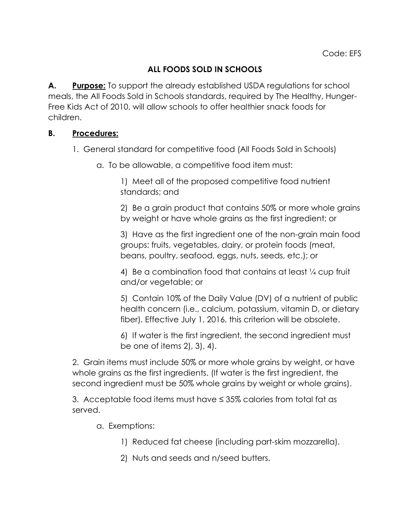## **ALL FOODS SOLD IN SCHOOLS**

**A. Purpose:** To support the already established USDA regulations for school meals, the All Foods Sold in Schools standards, required by The Healthy, Hunger-Free Kids Act of 2010, will allow schools to offer healthier snack foods for children.

## **B. Procedures:**

- 1. General standard for competitive food (All Foods Sold in Schools)
	- a. To be allowable, a competitive food item must:

1) Meet all of the proposed competitive food nutrient standards; and

2) Be a grain product that contains 50% or more whole grains by weight or have whole grains as the first ingredient; or

3) Have as the first ingredient one of the non-grain main food groups: fruits, vegetables, dairy, or protein foods (meat, beans, poultry, seafood, eggs, nuts, seeds, etc.); or

4) Be a combination food that contains at least ¼ cup fruit and/or vegetable; or

5) Contain 10% of the Daily Value (DV) of a nutrient of public health concern (i.e., calcium, potassium, vitamin D, or dietary fiber). Effective July 1, 2016, this criterion will be obsolete.

6) If water is the first ingredient, the second ingredient must be one of items 2), 3), 4).

2. Grain items must include 50% or more whole grains by weight, or have whole grains as the first ingredients. (If water is the first ingredient, the second ingredient must be 50% whole grains by weight or whole grains).

3. Acceptable food items must have ≤ 35% calories from total fat as served.

a. Exemptions:

- 1) Reduced fat cheese (including part-skim mozzarella).
- 2) Nuts and seeds and n/seed butters.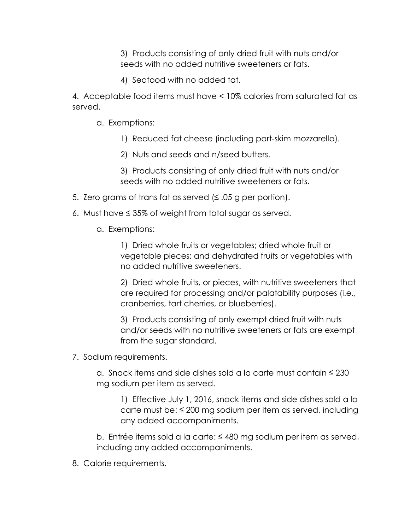3) Products consisting of only dried fruit with nuts and/or seeds with no added nutritive sweeteners or fats.

4) Seafood with no added fat.

4. Acceptable food items must have < 10% calories from saturated fat as served.

- a. Exemptions:
	- 1) Reduced fat cheese (including part-skim mozzarella).
	- 2) Nuts and seeds and n/seed butters.

3) Products consisting of only dried fruit with nuts and/or seeds with no added nutritive sweeteners or fats.

- 5. Zero grams of trans fat as served (≤ .05 g per portion).
- 6. Must have ≤ 35% of weight from total sugar as served.
	- a. Exemptions:

1) Dried whole fruits or vegetables; dried whole fruit or vegetable pieces; and dehydrated fruits or vegetables with no added nutritive sweeteners.

2) Dried whole fruits, or pieces, with nutritive sweeteners that are required for processing and/or palatability purposes (i.e., cranberries, tart cherries, or blueberries).

3) Products consisting of only exempt dried fruit with nuts and/or seeds with no nutritive sweeteners or fats are exempt from the sugar standard.

7. Sodium requirements.

a. Snack items and side dishes sold a la carte must contain ≤ 230 mg sodium per item as served.

1) Effective July 1, 2016, snack items and side dishes sold a la carte must be:  $\leq$  200 mg sodium per item as served, including any added accompaniments.

b. Entrée items sold a la carte: ≤ 480 mg sodium per item as served, including any added accompaniments.

8. Calorie requirements.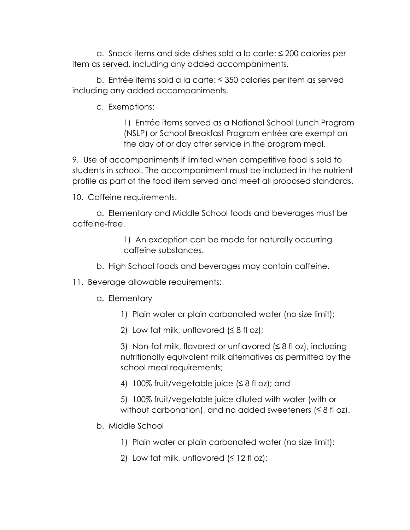a. Snack items and side dishes sold a la carte: ≤ 200 calories per item as served, including any added accompaniments.

b. Entrée items sold a la carte: ≤ 350 calories per item as served including any added accompaniments.

c. Exemptions:

1) Entrée items served as a National School Lunch Program (NSLP) or School Breakfast Program entrée are exempt on the day of or day after service in the program meal.

9. Use of accompaniments if limited when competitive food is sold to students in school. The accompaniment must be included in the nutrient profile as part of the food item served and meet all proposed standards.

10. Caffeine requirements.

a. Elementary and Middle School foods and beverages must be caffeine-free.

> 1) An exception can be made for naturally occurring caffeine substances.

- b. High School foods and beverages may contain caffeine.
- 11. Beverage allowable requirements:
	- a. Elementary
		- 1) Plain water or plain carbonated water (no size limit);
		- 2) Low fat milk, unflavored  $(≤ 8$  fl oz);

3) Non-fat milk, flavored or unflavored  $(\leq 8$  fl oz), including nutritionally equivalent milk alternatives as permitted by the school meal requirements;

4) 100% fruit/vegetable juice (≤ 8 fl oz); and

5) 100% fruit/vegetable juice diluted with water (with or without carbonation), and no added sweeteners  $( \leq 8 \text{ ft oz})$ .

- b. Middle School
	- 1) Plain water or plain carbonated water (no size limit);
	- 2) Low fat milk, unflavored  $(≤ 12$  fl oz);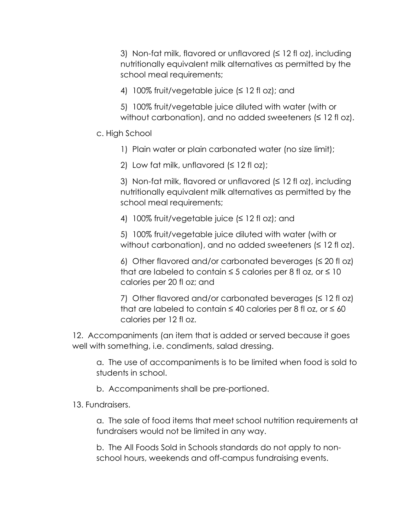3) Non-fat milk, flavored or unflavored (≤ 12 fl oz), including nutritionally equivalent milk alternatives as permitted by the school meal requirements;

4) 100% fruit/vegetable juice (≤ 12 fl oz); and

5) 100% fruit/vegetable juice diluted with water (with or without carbonation), and no added sweeteners  $( \leq 12 \text{ ft oz})$ .

## c. High School

1) Plain water or plain carbonated water (no size limit);

2) Low fat milk, unflavored  $( \leq 12$  fl oz);

3) Non-fat milk, flavored or unflavored  $( \leq 12$  fl oz), including nutritionally equivalent milk alternatives as permitted by the school meal requirements;

4) 100% fruit/vegetable juice (≤ 12 fl oz); and

5) 100% fruit/vegetable juice diluted with water (with or without carbonation), and no added sweeteners  $( \leq 12 \text{ ft } \text{oz})$ .

6) Other flavored and/or carbonated beverages  $( \leq 20 \text{ ft } \text{oz})$ that are labeled to contain  $\leq$  5 calories per 8 fl oz, or  $\leq$  10 calories per 20 fl oz; and

7) Other flavored and/or carbonated beverages  $( \leq 12$  fl oz) that are labeled to contain  $\leq 40$  calories per 8 fl oz, or  $\leq 60$ calories per 12 fl oz.

12. Accompaniments (an item that is added or served because it goes well with something, i.e. condiments, salad dressing.

a. The use of accompaniments is to be limited when food is sold to students in school.

b. Accompaniments shall be pre-portioned.

13. Fundraisers.

a. The sale of food items that meet school nutrition requirements at fundraisers would not be limited in any way.

b. The All Foods Sold in Schools standards do not apply to nonschool hours, weekends and off-campus fundraising events.